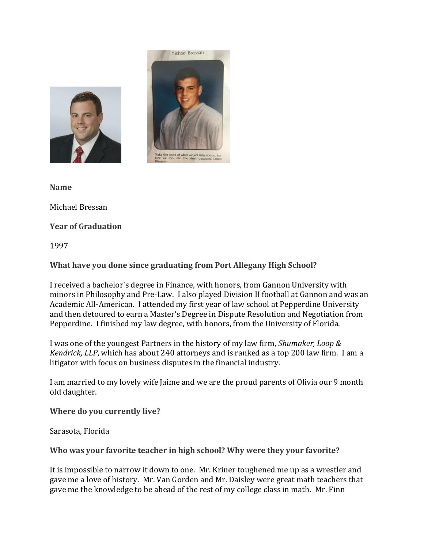



**Name**

Michael Bressan

## **Year of Graduation**

1997

## **What have you done since graduating from Port Allegany High School?**

I received a bachelor's degree in Finance, with honors, from Gannon University with minors in Philosophy and Pre-Law. I also played Division II football at Gannon and was an Academic All-American. I attended my first year of law school at Pepperdine University and then detoured to earn a Master's Degree in Dispute Resolution and Negotiation from Pepperdine. I finished my law degree, with honors, from the University of Florida.

I was one of the youngest Partners in the history of my law firm, *Shumaker, Loop & Kendrick, LLP*, which has about 240 attorneys and is ranked as a top 200 law firm. I am a litigator with focus on business disputes in the financial industry.

I am married to my lovely wife Jaime and we are the proud parents of Olivia our 9 month old daughter.

**Where do you currently live?**

Sarasota, Florida

## **Who was your favorite teacher in high school? Why were they your favorite?**

It is impossible to narrow it down to one. Mr. Kriner toughened me up as a wrestler and gave me a love of history. Mr. Van Gorden and Mr. Daisley were great math teachers that gave me the knowledge to be ahead of the rest of my college class in math. Mr. Finn